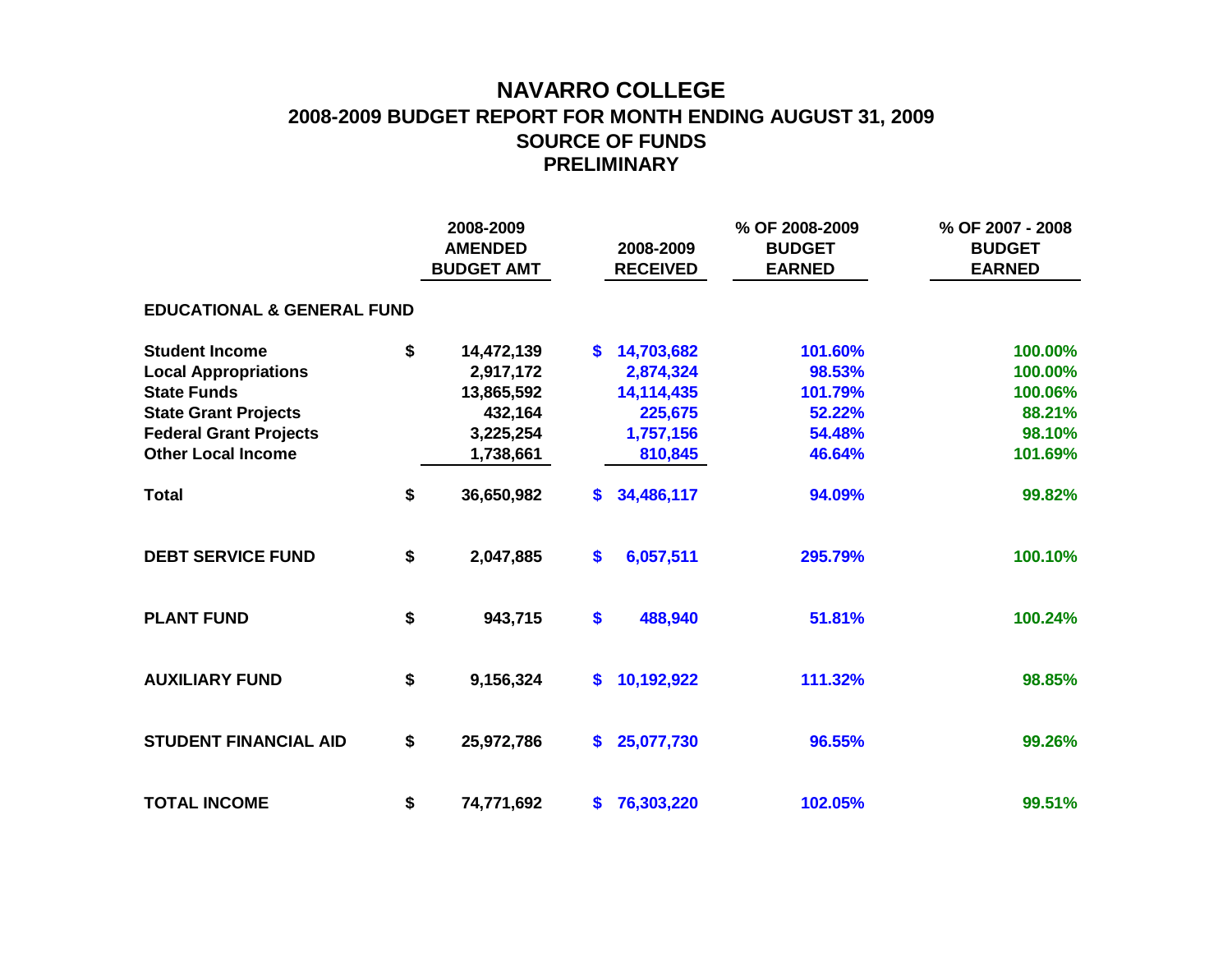## **NAVARRO COLLEGE 2008-2009 BUDGET REPORT FOR MONTH ENDING AUGUST 31, 2009 SOURCE OF FUNDS PRELIMINARY**

|                                       |    | 2008-2009<br><b>AMENDED</b><br><b>BUDGET AMT</b> |    | 2008-2009<br><b>RECEIVED</b> | % OF 2008-2009<br><b>BUDGET</b><br><b>EARNED</b> | % OF 2007 - 2008<br><b>BUDGET</b><br><b>EARNED</b> |  |  |  |  |  |  |  |
|---------------------------------------|----|--------------------------------------------------|----|------------------------------|--------------------------------------------------|----------------------------------------------------|--|--|--|--|--|--|--|
| <b>EDUCATIONAL &amp; GENERAL FUND</b> |    |                                                  |    |                              |                                                  |                                                    |  |  |  |  |  |  |  |
| <b>Student Income</b>                 | \$ | 14,472,139                                       | S. | 14,703,682                   | 101.60%                                          | 100.00%                                            |  |  |  |  |  |  |  |
| <b>Local Appropriations</b>           |    | 2,917,172                                        |    | 2,874,324                    | 98.53%                                           | 100.00%                                            |  |  |  |  |  |  |  |
| <b>State Funds</b>                    |    | 13,865,592                                       |    | 14,114,435                   | 101.79%                                          | 100.06%                                            |  |  |  |  |  |  |  |
| <b>State Grant Projects</b>           |    | 432,164                                          |    | 225,675                      | 52.22%                                           | 88.21%                                             |  |  |  |  |  |  |  |
| <b>Federal Grant Projects</b>         |    | 3,225,254                                        |    | 1,757,156                    | 54.48%                                           | 98.10%                                             |  |  |  |  |  |  |  |
| <b>Other Local Income</b>             |    | 1,738,661                                        |    | 810,845                      | 46.64%                                           | 101.69%                                            |  |  |  |  |  |  |  |
| <b>Total</b>                          | \$ | 36,650,982                                       | S. | 34,486,117                   | 94.09%                                           | 99.82%                                             |  |  |  |  |  |  |  |
| <b>DEBT SERVICE FUND</b>              | \$ | 2,047,885                                        | \$ | 6,057,511                    | 295.79%                                          | 100.10%                                            |  |  |  |  |  |  |  |
| <b>PLANT FUND</b>                     | \$ | 943,715                                          | \$ | 488,940                      | 51.81%                                           | 100.24%                                            |  |  |  |  |  |  |  |
| <b>AUXILIARY FUND</b>                 | \$ | 9,156,324                                        | \$ | 10,192,922                   | 111.32%                                          | 98.85%                                             |  |  |  |  |  |  |  |
| <b>STUDENT FINANCIAL AID</b>          | \$ | 25,972,786                                       | \$ | 25,077,730                   | 96.55%                                           | 99.26%                                             |  |  |  |  |  |  |  |
| <b>TOTAL INCOME</b>                   | \$ | 74,771,692                                       | \$ | 76,303,220                   | 102.05%                                          | 99.51%                                             |  |  |  |  |  |  |  |